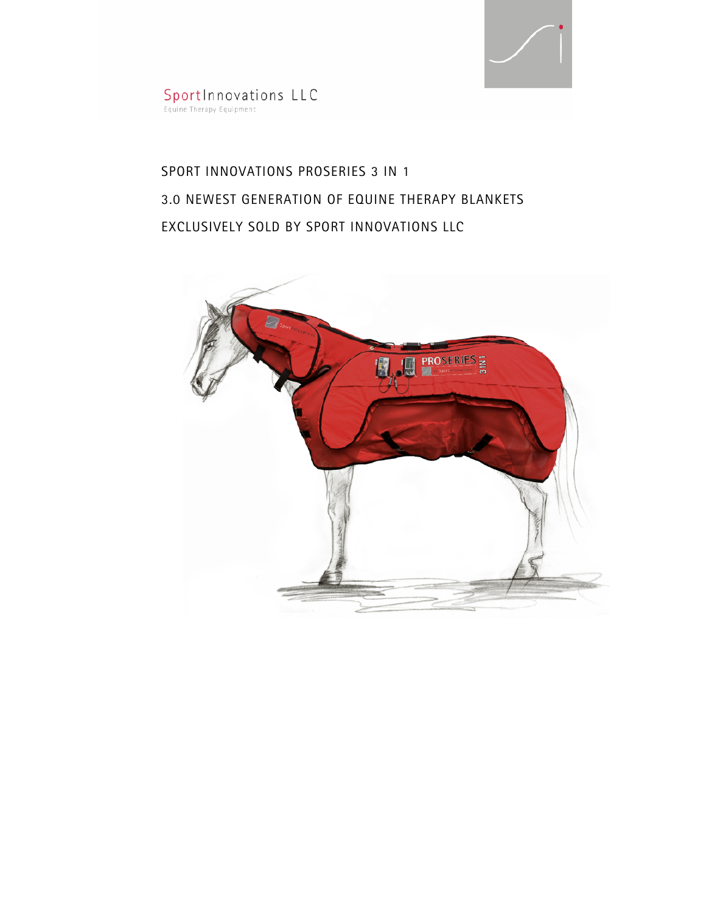

SportInnovations LLC<br>Equine Therapy Equipment

# SPORT INNOVATIONS PROSERIES 3 IN 1 3.0 NEWEST GENERATION OF EQUINE THERAPY BLANKETS EXCLUSIVELY SOLD BY SPORT INNOVATIONS LLC

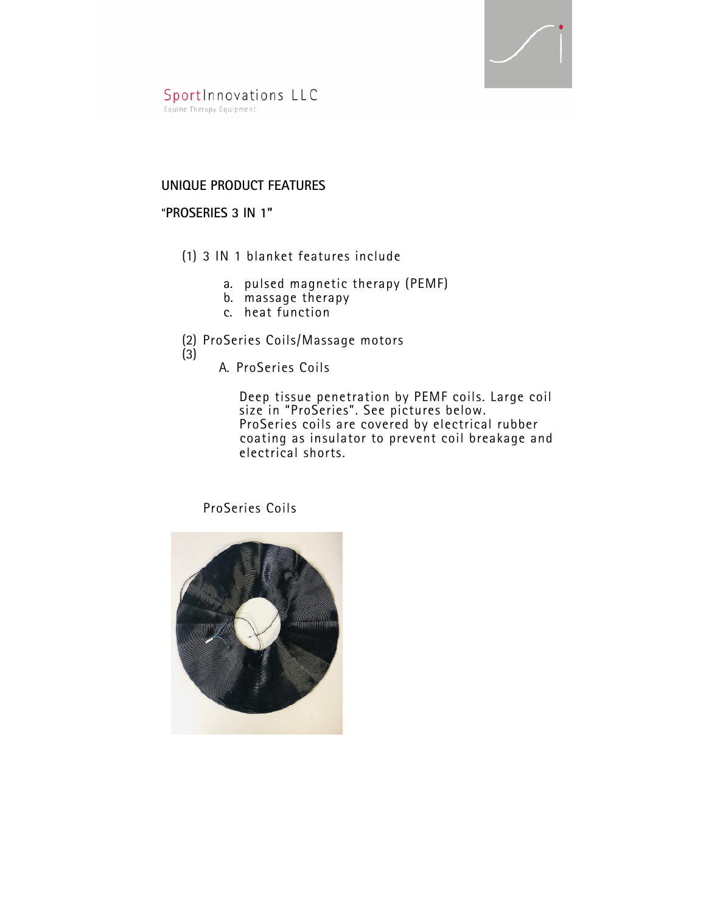

SportInnovations LLC Equine Therapy Equipment

## **UNIQUE PRODUCT FEATURES**

#### "**PROSERIES 3 IN 1"**

- (1) 3 IN 1 blanket features include
	- a. pulsed magnetic therapy (PEMF)
	- b. massage therapy
	- c. heat function
- (2) ProSeries Coils/Massage motors
- (3)
- A. ProSeries Coils

 Deep tissue penetration by PEMF coils. Large coil size in "ProSeries". See pictures below. ProSeries coils are covered by electrical rubber coating as insulator to prevent coil breakage and electrical shorts.

ProSeries Coils

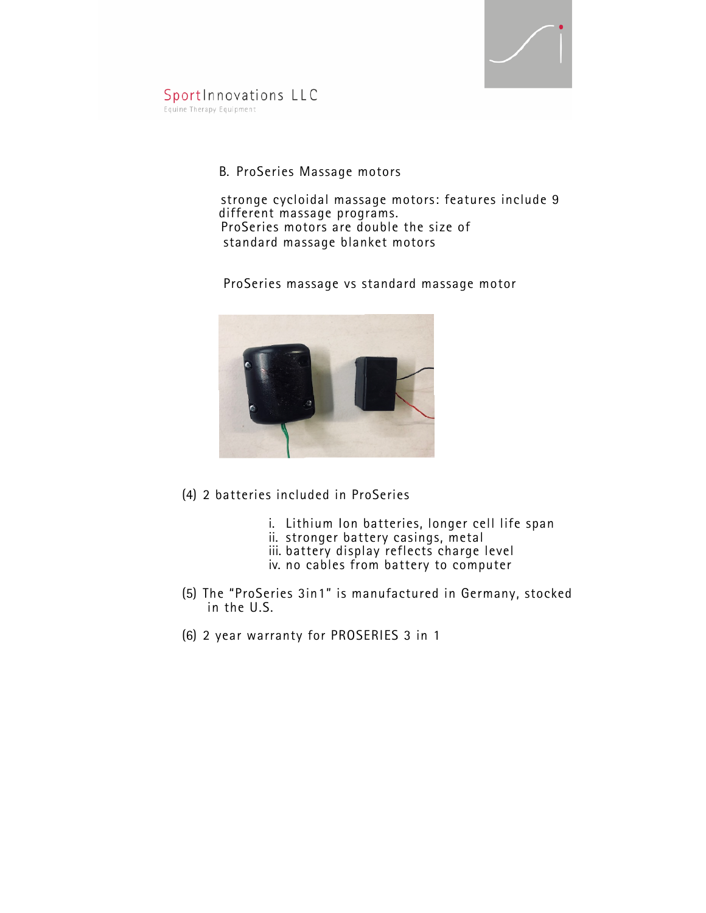

SportInnovations LLC Equine Therapy Equipment

# B. ProSeries Massage motors

 stronge cycloidal massage motors: features include 9 different massage programs. ProSeries motors are double the size of standard massage blanket motors

ProSeries massage vs standard massage motor



- (4) 2 batteries included in ProSeries
	- i. Lithium Ion batteries, longer cell life span
	- ii. stronger battery casings, metal
	- iii. battery display reflects charge level
	- iv. no cables from battery to computer
- (5) The "ProSeries 3in1" is manufactured in Germany, stocked in the U.S.
- (6) 2 year warranty for PROSERIES 3 in 1